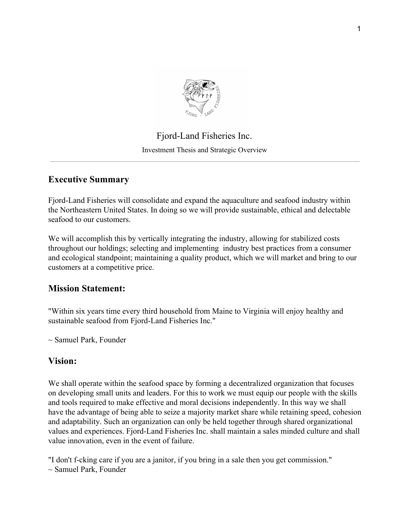

# Fjord-Land Fisheries Inc. Investment Thesis and Strategic Overview

# **Executive Summary**

Fjord-Land Fisheries will consolidate and expand the aquaculture and seafood industry within the Northeastern United States. In doing so we will provide sustainable, ethical and delectable seafood to our customers.

We will accomplish this by vertically integrating the industry, allowing for stabilized costs throughout our holdings; selecting and implementing industry best practices from a consumer and ecological standpoint; maintaining a quality product, which we will market and bring to our customers at a competitive price.

# **Mission Statement:**

"Within six years time every third household from Maine to Virginia will enjoy healthy and sustainable seafood from Fjord-Land Fisheries Inc."

 $\sim$  Samuel Park, Founder

# **Vision:**

We shall operate within the seafood space by forming a decentralized organization that focuses on developing small units and leaders. For this to work we must equip our people with the skills and tools required to make effective and moral decisions independently. In this way we shall have the advantage of being able to seize a majority market share while retaining speed, cohesion and adaptability. Such an organization can only be held together through shared organizational values and experiences. Fjord-Land Fisheries Inc. shall maintain a sales minded culture and shall value innovation, even in the event of failure.

"I don't f-cking care if you are a janitor, if you bring in a sale then you get commission."  $\sim$  Samuel Park, Founder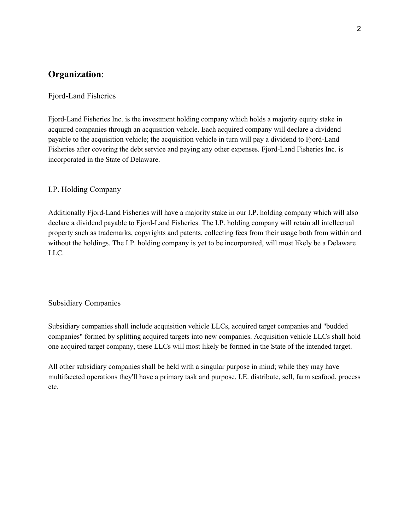# **Organization**:

# Fjord-Land Fisheries

Fjord-Land Fisheries Inc. is the investment holding company which holds a majority equity stake in acquired companies through an acquisition vehicle. Each acquired company will declare a dividend payable to the acquisition vehicle; the acquisition vehicle in turn will pay a dividend to Fjord-Land Fisheries after covering the debt service and paying any other expenses. Fjord-Land Fisheries Inc. is incorporated in the State of Delaware.

# I.P. Holding Company

Additionally Fjord-Land Fisheries will have a majority stake in our I.P. holding company which will also declare a dividend payable to Fjord-Land Fisheries. The I.P. holding company will retain all intellectual property such as trademarks, copyrights and patents, collecting fees from their usage both from within and without the holdings. The I.P. holding company is yet to be incorporated, will most likely be a Delaware LLC.

#### Subsidiary Companies

Subsidiary companies shall include acquisition vehicle LLCs, acquired target companies and "budded companies" formed by splitting acquired targets into new companies. Acquisition vehicle LLCs shall hold one acquired target company, these LLCs will most likely be formed in the State of the intended target.

All other subsidiary companies shall be held with a singular purpose in mind; while they may have multifaceted operations they'll have a primary task and purpose. I.E. distribute, sell, farm seafood, process etc.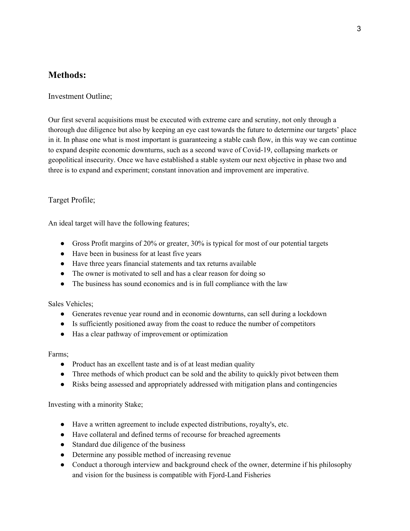# **Methods:**

Investment Outline;

Our first several acquisitions must be executed with extreme care and scrutiny, not only through a thorough due diligence but also by keeping an eye cast towards the future to determine our targets' place in it. In phase one what is most important is guaranteeing a stable cash flow, in this way we can continue to expand despite economic downturns, such as a second wave of Covid-19, collapsing markets or geopolitical insecurity. Once we have established a stable system our next objective in phase two and three is to expand and experiment; constant innovation and improvement are imperative.

# Target Profile;

An ideal target will have the following features;

- Gross Profit margins of 20% or greater, 30% is typical for most of our potential targets
- Have been in business for at least five years
- Have three years financial statements and tax returns available
- The owner is motivated to sell and has a clear reason for doing so
- The business has sound economics and is in full compliance with the law

Sales Vehicles;

- Generates revenue year round and in economic downturns, can sell during a lockdown
- Is sufficiently positioned away from the coast to reduce the number of competitors
- Has a clear pathway of improvement or optimization

#### Farms;

- Product has an excellent taste and is of at least median quality
- Three methods of which product can be sold and the ability to quickly pivot between them
- Risks being assessed and appropriately addressed with mitigation plans and contingencies

Investing with a minority Stake;

- Have a written agreement to include expected distributions, royalty's, etc.
- Have collateral and defined terms of recourse for breached agreements
- Standard due diligence of the business
- Determine any possible method of increasing revenue
- Conduct a thorough interview and background check of the owner, determine if his philosophy and vision for the business is compatible with Fjord-Land Fisheries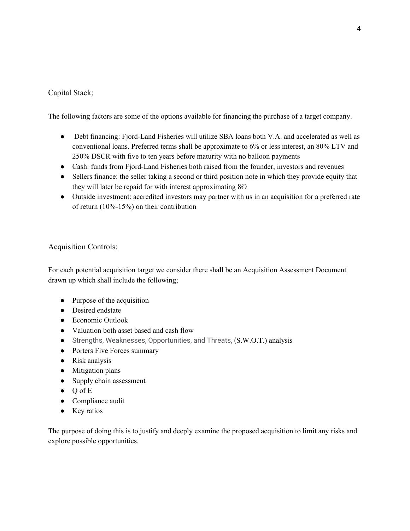# Capital Stack;

The following factors are some of the options available for financing the purchase of a target company.

- Debt financing: Fjord-Land Fisheries will utilize SBA loans both V.A. and accelerated as well as conventional loans. Preferred terms shall be approximate to 6% or less interest, an 80% LTV and 250% DSCR with five to ten years before maturity with no balloon payments
- Cash: funds from Fjord-Land Fisheries both raised from the founder, investors and revenues
- Sellers finance: the seller taking a second or third position note in which they provide equity that they will later be repaid for with interest approximating 8©
- Outside investment: accredited investors may partner with us in an acquisition for a preferred rate of return (10%-15%) on their contribution

# Acquisition Controls;

For each potential acquisition target we consider there shall be an Acquisition Assessment Document drawn up which shall include the following;

- Purpose of the acquisition
- Desired endstate
- Economic Outlook
- Valuation both asset based and cash flow
- Strengths, Weaknesses, Opportunities, and Threats, (S.W.O.T.) analysis
- Porters Five Forces summary
- Risk analysis
- Mitigation plans
- Supply chain assessment
- Q of E
- Compliance audit
- Key ratios

The purpose of doing this is to justify and deeply examine the proposed acquisition to limit any risks and explore possible opportunities.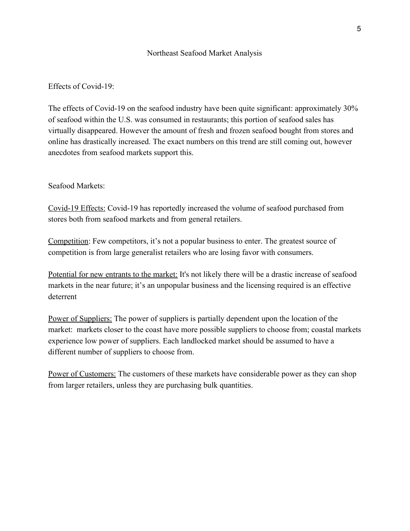## Northeast Seafood Market Analysis

# Effects of Covid-19:

The effects of Covid-19 on the seafood industry have been quite significant: approximately 30% of seafood within the U.S. was consumed in restaurants; this portion of seafood sales has virtually disappeared. However the amount of fresh and frozen seafood bought from stores and online has drastically increased. The exact numbers on this trend are still coming out, however anecdotes from seafood markets support this.

### Seafood Markets:

Covid-19 Effects: Covid-19 has reportedly increased the volume of seafood purchased from stores both from seafood markets and from general retailers.

Competition: Few competitors, it's not a popular business to enter. The greatest source of competition is from large generalist retailers who are losing favor with consumers.

Potential for new entrants to the market: It's not likely there will be a drastic increase of seafood markets in the near future; it's an unpopular business and the licensing required is an effective deterrent

Power of Suppliers: The power of suppliers is partially dependent upon the location of the market: markets closer to the coast have more possible suppliers to choose from; coastal markets experience low power of suppliers. Each landlocked market should be assumed to have a different number of suppliers to choose from.

Power of Customers: The customers of these markets have considerable power as they can shop from larger retailers, unless they are purchasing bulk quantities.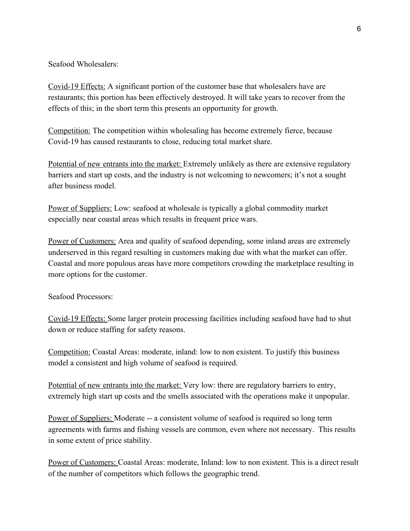Seafood Wholesalers:

Covid-19 Effects: A significant portion of the customer base that wholesalers have are restaurants; this portion has been effectively destroyed. It will take years to recover from the effects of this; in the short term this presents an opportunity for growth.

Competition: The competition within wholesaling has become extremely fierce, because Covid-19 has caused restaurants to close, reducing total market share.

Potential of new entrants into the market: Extremely unlikely as there are extensive regulatory barriers and start up costs, and the industry is not welcoming to newcomers; it's not a sought after business model.

Power of Suppliers: Low: seafood at wholesale is typically a global commodity market especially near coastal areas which results in frequent price wars.

Power of Customers: Area and quality of seafood depending, some inland areas are extremely underserved in this regard resulting in customers making due with what the market can offer. Coastal and more populous areas have more competitors crowding the marketplace resulting in more options for the customer.

Seafood Processors:

Covid-19 Effects: Some larger protein processing facilities including seafood have had to shut down or reduce staffing for safety reasons.

Competition: Coastal Areas: moderate, inland: low to non existent. To justify this business model a consistent and high volume of seafood is required.

Potential of new entrants into the market: Very low: there are regulatory barriers to entry, extremely high start up costs and the smells associated with the operations make it unpopular.

Power of Suppliers: Moderate -- a consistent volume of seafood is required so long term agreements with farms and fishing vessels are common, even where not necessary. This results in some extent of price stability.

Power of Customers: Coastal Areas: moderate, Inland: low to non existent. This is a direct result of the number of competitors which follows the geographic trend.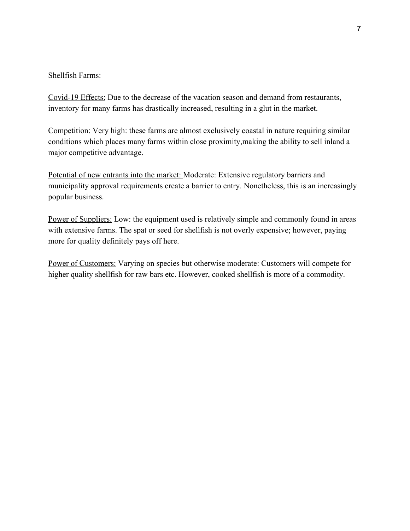# Shellfish Farms:

Covid-19 Effects: Due to the decrease of the vacation season and demand from restaurants, inventory for many farms has drastically increased, resulting in a glut in the market.

Competition: Very high: these farms are almost exclusively coastal in nature requiring similar conditions which places many farms within close proximity,making the ability to sell inland a major competitive advantage.

Potential of new entrants into the market: Moderate: Extensive regulatory barriers and municipality approval requirements create a barrier to entry. Nonetheless, this is an increasingly popular business.

Power of Suppliers: Low: the equipment used is relatively simple and commonly found in areas with extensive farms. The spat or seed for shellfish is not overly expensive; however, paying more for quality definitely pays off here.

Power of Customers: Varying on species but otherwise moderate: Customers will compete for higher quality shellfish for raw bars etc. However, cooked shellfish is more of a commodity.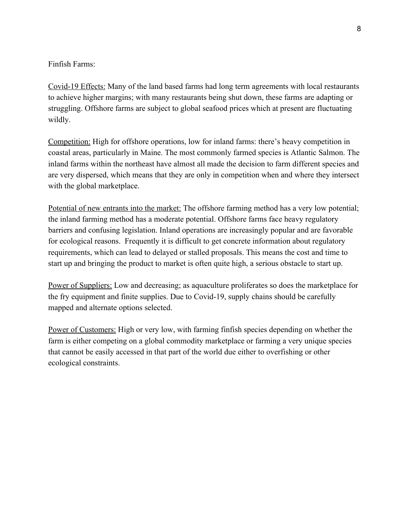Finfish Farms:

Covid-19 Effects: Many of the land based farms had long term agreements with local restaurants to achieve higher margins; with many restaurants being shut down, these farms are adapting or struggling. Offshore farms are subject to global seafood prices which at present are fluctuating wildly.

Competition: High for offshore operations, low for inland farms: there's heavy competition in coastal areas, particularly in Maine. The most commonly farmed species is Atlantic Salmon. The inland farms within the northeast have almost all made the decision to farm different species and are very dispersed, which means that they are only in competition when and where they intersect with the global marketplace.

Potential of new entrants into the market: The offshore farming method has a very low potential; the inland farming method has a moderate potential. Offshore farms face heavy regulatory barriers and confusing legislation. Inland operations are increasingly popular and are favorable for ecological reasons. Frequently it is difficult to get concrete information about regulatory requirements, which can lead to delayed or stalled proposals. This means the cost and time to start up and bringing the product to market is often quite high, a serious obstacle to start up.

Power of Suppliers: Low and decreasing; as aquaculture proliferates so does the marketplace for the fry equipment and finite supplies. Due to Covid-19, supply chains should be carefully mapped and alternate options selected.

Power of Customers: High or very low, with farming finfish species depending on whether the farm is either competing on a global commodity marketplace or farming a very unique species that cannot be easily accessed in that part of the world due either to overfishing or other ecological constraints.